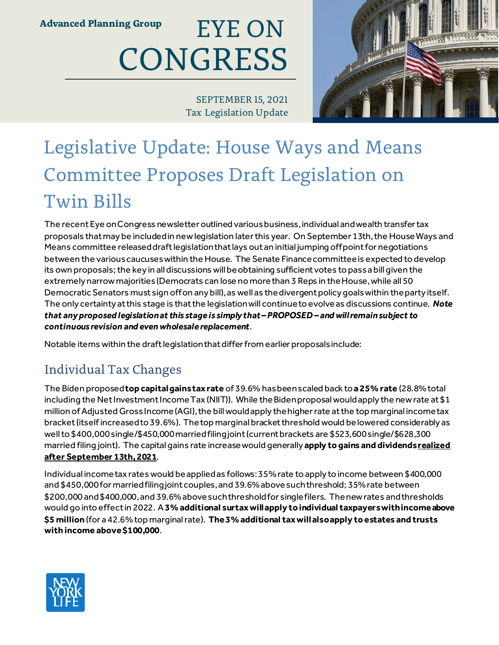#### EYE ON **COI CONGRESS** EYE ON

SEPTEMBER 15, 2021 Tax Legislation Update

# Legislative Update: House Ways and Means Committee Proposes Draft Legislation on Twin Bills

The recent Eye on Congress newsletter outlined various business, individual and wealth transfer tax proposals that may be included in new legislation later this year. On September 13th, the House Ways and Means committee released draft legislation that lays out an initial jumping off point for negotiations between the various caucuses within the House. The Senate Finance committee is expected to develop its own proposals; the key in all discussions will be obtaining sufficient votes to pass a bill given the extremely narrow majorities (Democrats can lose no more than 3 Reps in the House, while all 50 Democratic Senators must sign off on any bill), as well as the divergent policy goals within the party itself. The only certainty at this stage is that the legislation will continue to evolve as discussions continue. *Note that any proposed legislation at this stage is simply that – PROPOSED – and will remain subject to continuous revision and even wholesale replacement*.

Notable items within the draft legislation that differ from earlier proposals include:

## Individual Tax Changes

The Biden proposed **top capital gains tax rate** of 39.6% has been scaled back to **a 25% rate** (28.8% total including the Net Investment Income Tax (NIIT)). While the Biden proposal would apply the new rate at \$1 million of Adjusted Gross Income (AGI), the bill would apply the higher rate at the top marginal income tax bracket (itself increased to 39.6%). The top marginal bracket threshold would be lowered considerably as well to \$400,000 single/\$450,000 married filing joint (current brackets are \$523,600 single/\$628,300 married filing joint). The capital gains rate increase would generally **apply to gains and dividends realized after September 13th, 2021**.

Individual income tax rates would be applied as follows: 35% rate to apply to income between \$400,000 and \$450,000 for married filing joint couples, and 39.6% above such threshold; 35% rate between \$200,000 and \$400,000, and 39.6% above such threshold for single filers. The new rates and thresholds would go into effect in 2022. A **3% additional surtax will apply to individual taxpayers with income above \$5 million** (for a 42.6% top marginal rate). **The 3% additional tax will also apply to estates and trusts with income above \$100,000**.

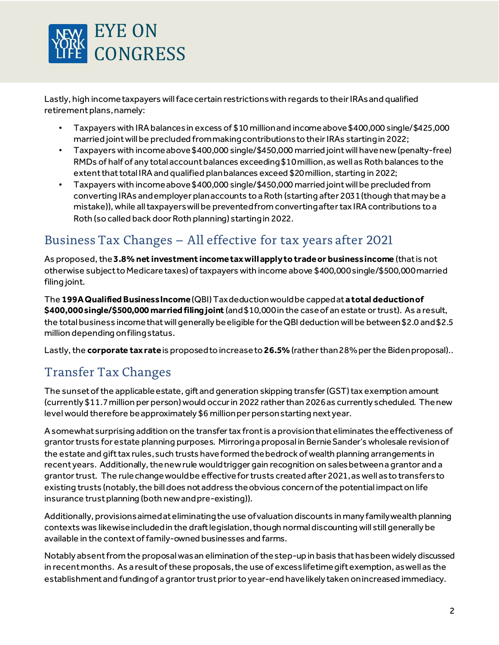

Lastly, high income taxpayers will face certain restrictions with regards to their IRAs and qualified retirement plans, namely:

- Taxpayers with IRA balances in excess of \$10 million and income above \$400,000 single/\$425,000 married joint will be precluded from making contributions to their IRAs starting in 2022;
- Taxpayers with income above \$400,000 single/\$450,000 married joint will have new (penalty-free) RMDs of half of any total account balances exceeding \$10 million, as well as Roth balances to the extent that total IRA and qualified plan balances exceed \$20 million, starting in 2022;
- Taxpayers with income above \$400,000 single/\$450,000 married joint will be precluded from converting IRAs and employer plan accounts to a Roth (starting after 2031 (though that may be a mistake)), while all taxpayers will be prevented from converting after tax IRA contributions to a Roth (so called back door Roth planning) starting in 2022.

### Business Tax Changes – All effective for tax years after 2021

As proposed, the **3.8% net investment income tax will apply to trade or business income** (that is not otherwise subject to Medicare taxes) of taxpayers with income above \$400,000 single/\$500,000 married filing joint.

The **199A Qualified Business Income**(QBI) Tax deduction would be capped at **a total deduction of \$400,000 single/\$500,000 married filing joint** (and \$10,000 in the case of an estate or trust). As a result, the total business income that will generally be eligible for the QBI deduction will be between \$2.0 and \$2.5 million depending on filing status.

Lastly, the **corporate tax rate**is proposed to increase to **26.5%**(rather than 28% per the Biden proposal)..

### Transfer Tax Changes

The sunset of the applicable estate, gift and generation skipping transfer (GST) tax exemption amount (currently \$11.7 million per person) would occur in 2022 rather than 2026 as currently scheduled. The new level would therefore be approximately \$6 million per person starting next year.

A somewhat surprising addition on the transfer tax front is a provision that eliminates the effectiveness of grantor trusts for estate planning purposes. Mirroring a proposal in Bernie Sander's wholesale revision of the estate and gift tax rules, such trusts have formed the bedrock of wealth planning arrangements in recent years. Additionally, the new rule would trigger gain recognition on sales between a grantor and a grantor trust. The rule change would be effective for trusts created after 2021, as well as to transfers to existing trusts (notably, the bill does not address the obvious concern of the potential impact on life insurance trust planning (both new and pre-existing)).

Additionally, provisions aimed at eliminating the use of valuation discounts in many family wealth planning contexts was likewise included in the draft legislation, though normal discounting will still generally be available in the context of family-owned businesses and farms.

Notably absent from the proposal was an elimination of the step-up in basis that has been widely discussed in recent months. As a result of these proposals, the use of excess lifetime gift exemption, as well as the establishment and funding of a grantor trust prior to year-end have likely taken on increased immediacy.